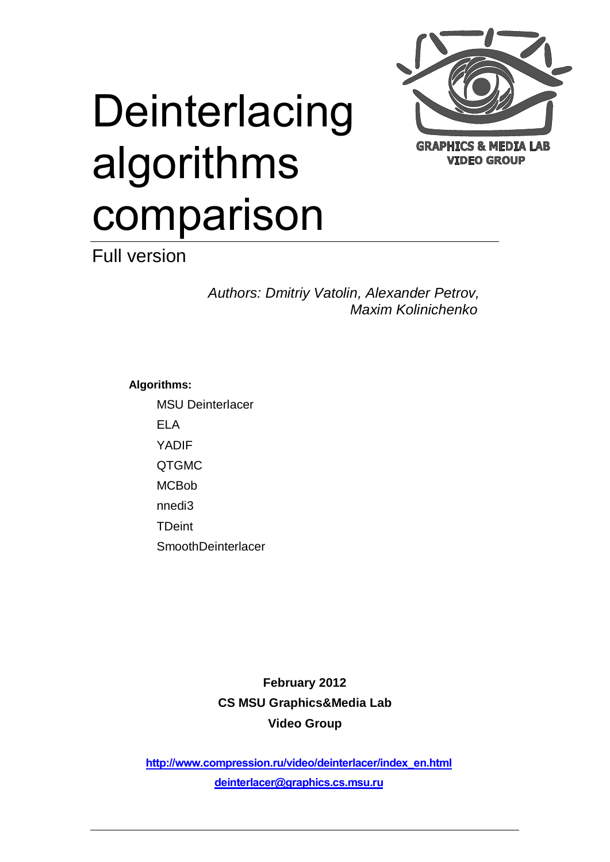

# **Deinterlacing** algorithms comparison

Full version

*Authors: Dmitriy Vatolin, Alexander Petrov, Maxim Kolinichenko*

**Algorithms:**

MSU Deinterlacer

ELA

YADIF

QTGMC

**MCBob** 

nnedi3

TDeint

**SmoothDeinterlacer** 

**February 2012 CS MSU Graphics&Media Lab Video Group**

**[http://www.compression.ru/video/deinterlacer/index\\_en.html](http://www.compression.ru/video/deinterlacer/index_en.html) [deinterlacer@graphics.cs.msu.ru](mailto:videocodec-testing@graphics.cs.msu.ru)**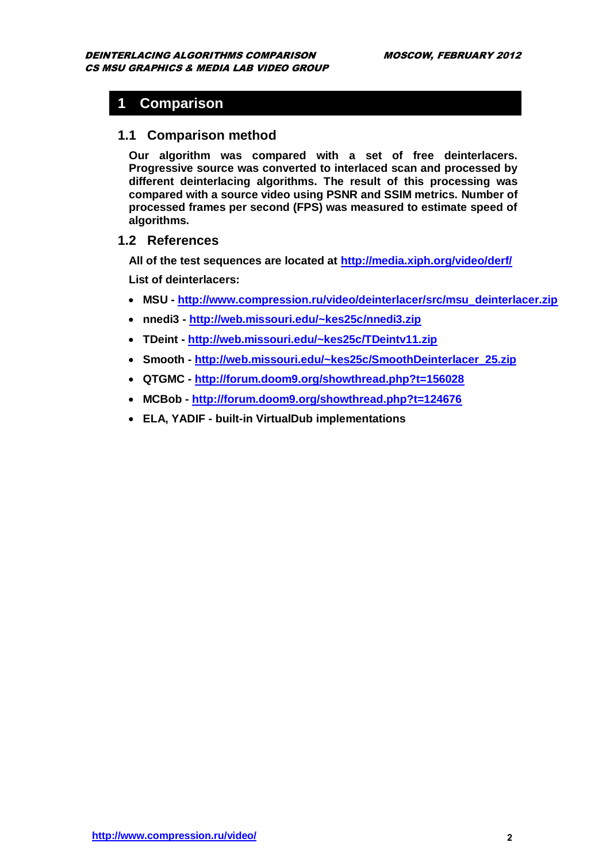### **1 Comparison**

#### **1.1 Comparison method**

**Our algorithm was compared with a set of free deinterlacers. Progressive source was converted to interlaced scan and processed by different deinterlacing algorithms. The result of this processing was compared with a source video using PSNR and SSIM metrics. Number of processed frames per second (FPS) was measured to estimate speed of algorithms.**

#### **1.2 References**

**All of the test sequences are located at<http://media.xiph.org/video/derf/>**

**List of deinterlacers:**

- **MSU - [http://www.compression.ru/video/deinterlacer/src/msu\\_deinterlacer.zip](http://www.compression.ru/video/deinterlacer/src/msu_deinterlacer.zip)**
- **nnedi3 - <http://web.missouri.edu/~kes25c/nnedi3.zip>**
- **TDeint - <http://web.missouri.edu/~kes25c/TDeintv11.zip>**
- **Smooth - [http://web.missouri.edu/~kes25c/SmoothDeinterlacer\\_25.zip](http://web.missouri.edu/~kes25c/SmoothDeinterlacer_25.zip)**
- **QTGMC - <http://forum.doom9.org/showthread.php?t=156028>**
- **MCBob - <http://forum.doom9.org/showthread.php?t=124676>**
- **ELA, YADIF - built-in VirtualDub implementations**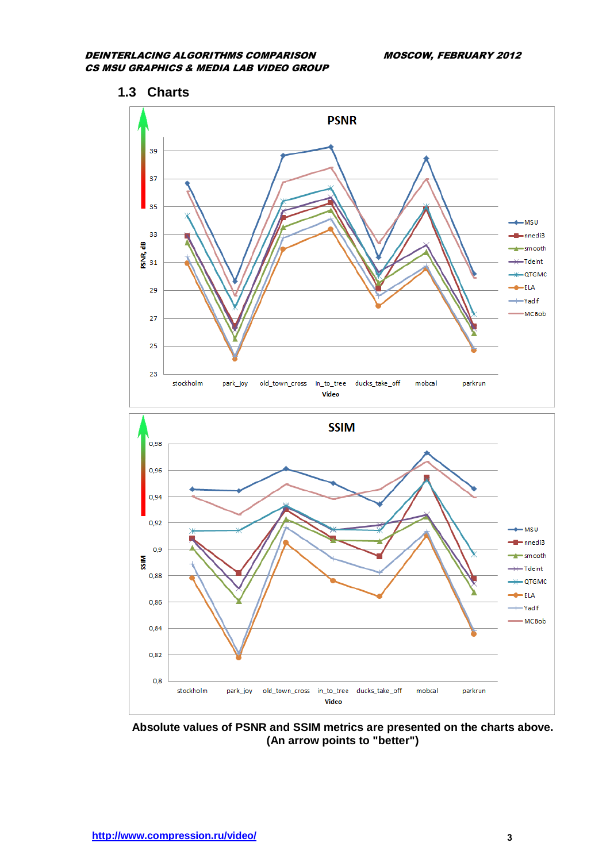



**Absolute values of PSNR and SSIM metrics are presented on the charts above. (An arrow points to "better")**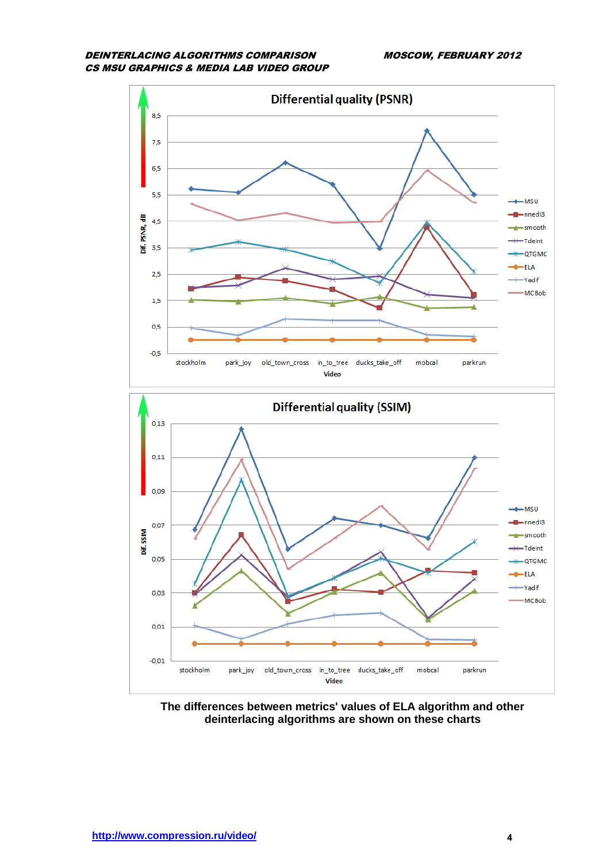



**The differences between metrics' values of ELA algorithm and other deinterlacing algorithms are shown on these charts**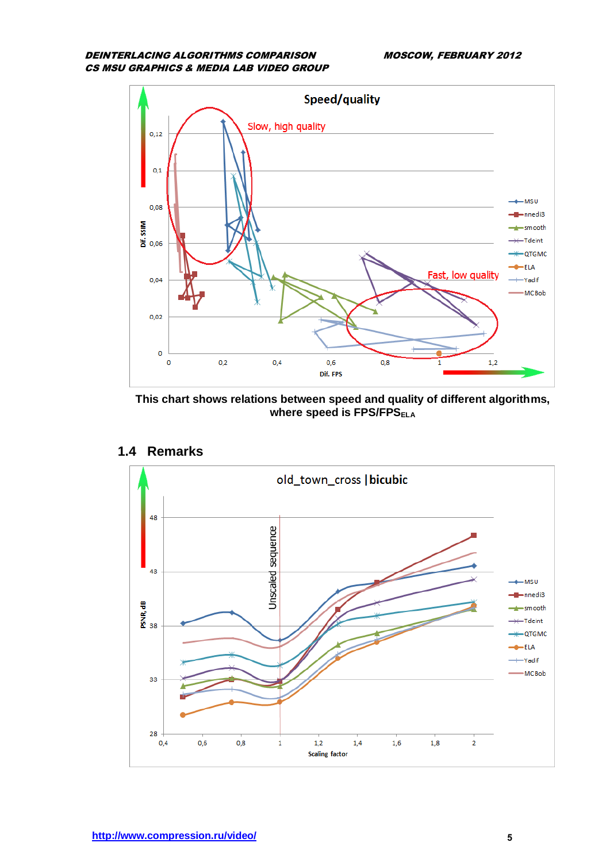

**This chart shows relations between speed and quality of different algorithms, where speed is FPS/FPS**<sub>ELA</sub>



#### **1.4 Remarks**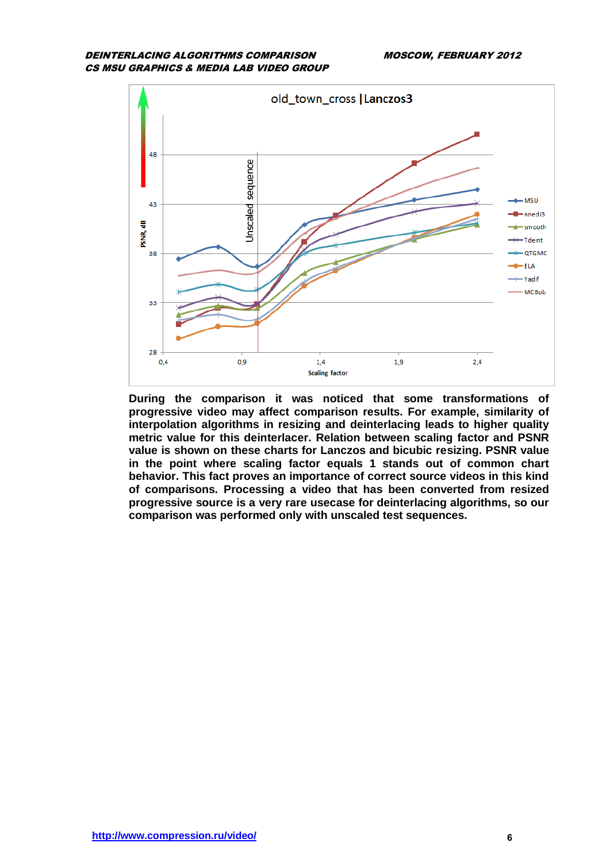

**During the comparison it was noticed that some transformations of progressive video may affect comparison results. For example, similarity of interpolation algorithms in resizing and deinterlacing leads to higher quality metric value for this deinterlacer. Relation between scaling factor and PSNR value is shown on these charts for Lanczos and bicubic resizing. PSNR value in the point where scaling factor equals 1 stands out of common chart behavior. This fact proves an importance of correct source videos in this kind of comparisons. Processing a video that has been converted from resized progressive source is a very rare usecase for deinterlacing algorithms, so our comparison was performed only with unscaled test sequences.**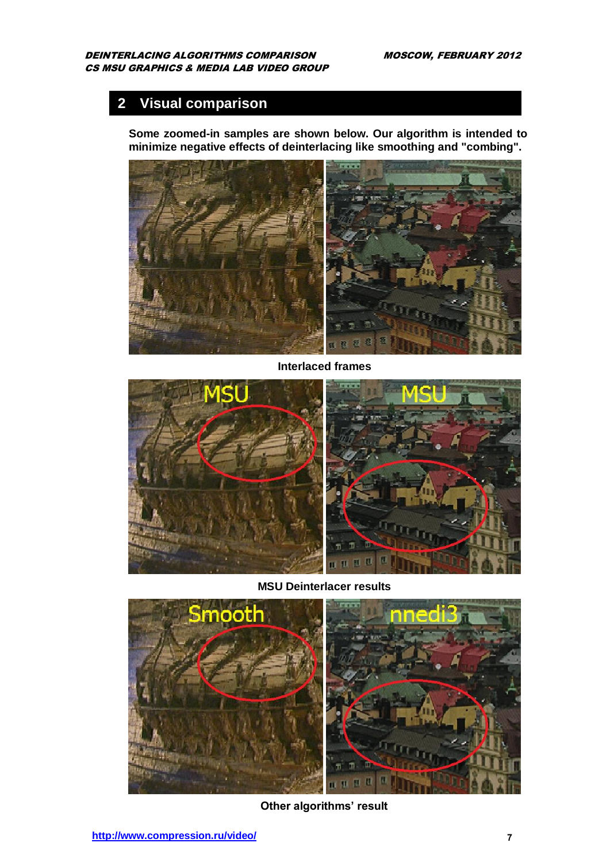# **2 Visual comparison**

**Some zoomed-in samples are shown below. Our algorithm is intended to minimize negative effects of deinterlacing like smoothing and "combing".**



**Interlaced frames**



**MSU Deinterlacer results**



**Other algorithms' result**